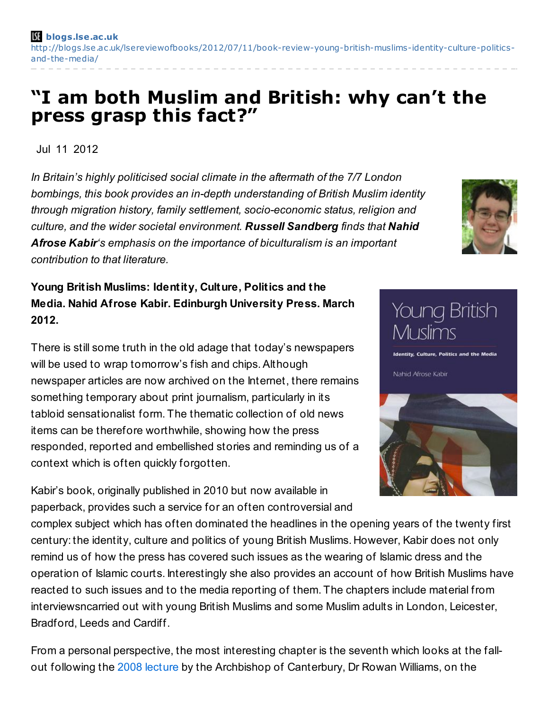## **"I am both Muslim and British: why can't the press grasp this fact?"**

Jul 11 2012

*In Britain's highly politicised social climate in the aftermath of the 7/7 London bombings, this book provides an in-depth understanding of British Muslim identity through migration history, family settlement, socio-economic status, religion and culture, and the wider societal environment. Russell Sandberg finds that Nahid Afrose Kabir's emphasis on the importance of biculturalism is an important contribution to that literature.*

**Young British Muslims: Identity, Culture, Politics and the Media. Nahid Afrose Kabir. Edinburgh University Press. March 2012.**

There is still some truth in the old adage that today's newspapers will be used to wrap tomorrow's fish and chips. Although newspaper articles are now archived on the Internet, there remains something temporary about print journalism, particularly in its tabloid sensationalist form. The thematic collection of old news items can be therefore worthwhile, showing how the press responded, reported and embellished stories and reminding us of a context which is often quickly forgotten.

Kabir's book, originally published in 2010 but now available in paperback, provides such a service for an often controversial and Muslims **Identity, Culture, Politics and the Media** Nahid Afrose Kabir

**Young British** 

complex subject which has often dominated the headlines in the opening years of the twenty first century: the identity, culture and politics of young British Muslims. However, Kabir does not only remind us of how the press has covered such issues as the wearing of Islamic dress and the operation of Islamic courts. Interestingly she also provides an account of how British Muslims have reacted to such issues and to the media reporting of them. The chapters include material from interviewsncarried out with young British Muslims and some Muslim adults in London, Leicester, Bradford, Leeds and Cardiff.

From a personal perspective, the most interesting chapter is the seventh which looks at the fallout following the 2008 [lecture](http://www.guardian.co.uk/uk/2008/feb/07/religion.world2) by the Archbishop of Canterbury, Dr Rowan Williams, on the

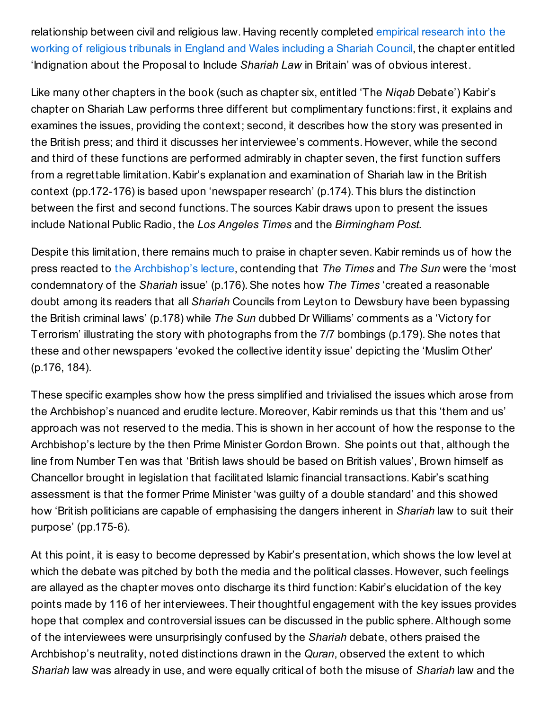[relationship](http://www.law.cf.ac.uk/clr/research/cohesion.html) between civil and religious law. Having recently completed empirical research into the working of religious tribunals in England and Wales including a Shariah Council, the chapter entitled 'Indignation about the Proposal to Include *Shariah Law* in Britain' was of obvious interest.

Like many other chapters in the book (such as chapter six, entitled 'The *Niqab* Debate') Kabir's chapter on Shariah Law performs three different but complimentary functions: first, it explains and examines the issues, providing the context; second, it describes how the story was presented in the British press; and third it discusses her interviewee's comments. However, while the second and third of these functions are performed admirably in chapter seven, the first function suffers from a regrettable limitation. Kabir's explanation and examination of Shariah law in the British context (pp.172-176) is based upon 'newspaper research' (p.174). This blurs the distinction between the first and second functions. The sources Kabir draws upon to present the issues include National Public Radio, the *Los Angeles Times* and the *Birmingham Post.*

Despite this limitation, there remains much to praise in chapter seven.Kabir reminds us of how the press reacted to the [Archbishop's](http://www.guardian.co.uk/uk/2008/feb/07/religion.world2) lecture, contending that *The Times* and *The Sun* were the 'most condemnatory of the *Shariah* issue' (p.176).She notes how *The Times* 'created a reasonable doubt among its readers that all *Shariah* Councils from Leyton to Dewsbury have been bypassing the British criminal laws' (p.178) while *The Sun* dubbed Dr Williams' comments as a 'Victory for Terrorism' illustrating the story with photographs from the 7/7 bombings (p.179). She notes that these and other newspapers 'evoked the collective identity issue' depicting the 'Muslim Other' (p.176, 184).

These specific examples show how the press simplified and trivialised the issues which arose from the Archbishop's nuanced and erudite lecture. Moreover, Kabir reminds us that this 'them and us' approach was not reserved to the media. This is shown in her account of how the response to the Archbishop's lecture by the then Prime Minister Gordon Brown. She points out that, although the line from Number Ten was that 'British laws should be based on British values', Brown himself as Chancellor brought in legislation that facilitated Islamic financial transactions.Kabir's scathing assessment is that the former Prime Minister 'was guilty of a double standard' and this showed how 'British politicians are capable of emphasising the dangers inherent in *Shariah* law to suit their purpose' (pp.175-6).

At this point, it is easy to become depressed by Kabir's presentation, which shows the low level at which the debate was pitched by both the media and the political classes. However, such feelings are allayed as the chapter moves onto discharge its third function: Kabir's elucidation of the key points made by 116 of her interviewees. Their thoughtful engagement with the key issues provides hope that complex and controversial issues can be discussed in the public sphere.Although some of the interviewees were unsurprisingly confused by the *Shariah* debate, others praised the Archbishop's neutrality, noted distinctions drawn in the *Quran*, observed the extent to which *Shariah* law was already in use, and were equally critical of both the misuse of *Shariah* law and the